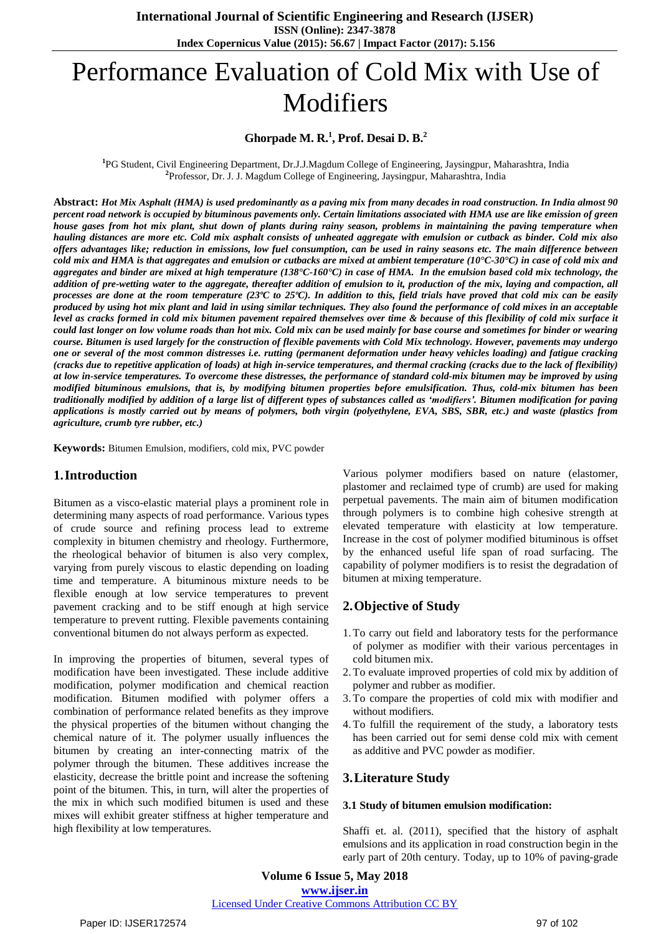# Performance Evaluation of Cold Mix with Use of Modifiers

## **Ghorpade M. R.<sup>1</sup> , Prof. Desai D. B.<sup>2</sup>**

**1** PG Student, Civil Engineering Department, Dr.J.J.Magdum College of Engineering, Jaysingpur, Maharashtra, India **2** Professor, Dr. J. J. Magdum College of Engineering, Jaysingpur, Maharashtra, India

Abstract: Hot Mix Asphalt (HMA) is used predominantly as a paving mix from many decades in road construction. In India almost 90 percent road network is occupied by bituminous pavements only. Certain limitations associated with HMA use are like emission of green house gases from hot mix plant, shut down of plants during rainy season, problems in maintaining the paving temperature when hauling distances are more etc. Cold mix asphalt consists of unheated aggregate with emulsion or cutback as binder. Cold mix also offers advantages like; reduction in emissions, low fuel consumption, can be used in rainy seasons etc. The main difference between cold mix and HMA is that aggregates and emulsion or cutbacks are mixed at ambient temperature (10°C-30°C) in case of cold mix and aggregates and binder are mixed at high temperature (138°C-160°C) in case of HMA. In the emulsion based cold mix technology, the addition of pre-wetting water to the aggregate, thereafter addition of emulsion to it, production of the mix, laying and compaction, all processes are done at the room temperature  $(23^{\circ}\text{C})$  to  $25^{\circ}\text{C}$ ). In addition to this, field trials have proved that cold mix can be easily produced by using hot mix plant and laid in using similar techniques. They also found the performance of cold mixes in an acceptable level as cracks formed in cold mix bitumen pavement repaired themselves over time & because of this flexibility of cold mix surface it could last longer on low volume roads than hot mix. Cold mix can be used mainly for base course and sometimes for binder or wearing course. Bitumen is used largely for the construction of flexible pavements with Cold Mix technology. However, pavements may undergo one or several of the most common distresses i.e. rutting (permanent deformation under heavy vehicles loading) and fatigue cracking (cracks due to repetitive application of loads) at high in-service temperatures, and thermal cracking (cracks due to the lack of flexibility) at low in-service temperatures. To overcome these distresses, the performance of standard cold-mix bitumen may be improved by using *modified bituminous emulsions, that is, by modifying bitumen properties before emulsification. Thus, cold-mix bitumen has been* traditionally modified by addition of a large list of different types of substances called as 'modifiers'. Bitumen modification for paving applications is mostly carried out by means of polymers, both virgin (polyethylene, EVA, SBS, SBR, etc.) and waste (plastics from *agriculture, crumb tyre rubber, etc.)*

**Keywords:** Bitumen Emulsion, modifiers, cold mix, PVC powder

## **1.Introduction**

Bitumen as a visco-elastic material plays a prominent role in determining many aspects of road performance. Various types of crude source and refining process lead to extreme complexity in bitumen chemistry and rheology. Furthermore, the rheological behavior of bitumen is also very complex, varying from purely viscous to elastic depending on loading time and temperature. A bituminous mixture needs to be flexible enough at low service temperatures to prevent pavement cracking and to be stiff enough at high service temperature to prevent rutting. Flexible pavements containing conventional bitumen do not always perform as expected.

In improving the properties of bitumen, several types of modification have been investigated. These include additive modification, polymer modification and chemical reaction modification. Bitumen modified with polymer offers a combination of performance related benefits as they improve the physical properties of the bitumen without changing the chemical nature of it. The polymer usually influences the bitumen by creating an inter-connecting matrix of the polymer through the bitumen. These additives increase the elasticity, decrease the brittle point and increase the softening point of the bitumen. This, in turn, will alter the properties of the mix in which such modified bitumen is used and these mixes will exhibit greater stiffness at higher temperature and high flexibility at low temperatures.

Various polymer modifiers based on nature (elastomer, plastomer and reclaimed type of crumb) are used for making perpetual pavements. The main aim of bitumen modification through polymers is to combine high cohesive strength at elevated temperature with elasticity at low temperature. Increase in the cost of polymer modified bituminous is offset by the enhanced useful life span of road surfacing. The capability of polymer modifiers is to resist the degradation of bitumen at mixing temperature.

## **2.Objective of Study**

- 1.To carry out field and laboratory tests for the performance of polymer as modifier with their various percentages in cold bitumen mix.
- 2.To evaluate improved properties of cold mix by addition of polymer and rubber as modifier.
- 3.To compare the properties of cold mix with modifier and without modifiers.
- 4.To fulfill the requirement of the study, a laboratory tests has been carried out for semi dense cold mix with cement as additive and PVC powder as modifier.

## **3.Literature Study**

#### **3.1 Study of bitumen emulsion modification:**

Shaffi et. al. (2011), specified that the history of asphalt emulsions and its application in road construction begin in the early part of 20th century. Today, up to 10% of paving-grade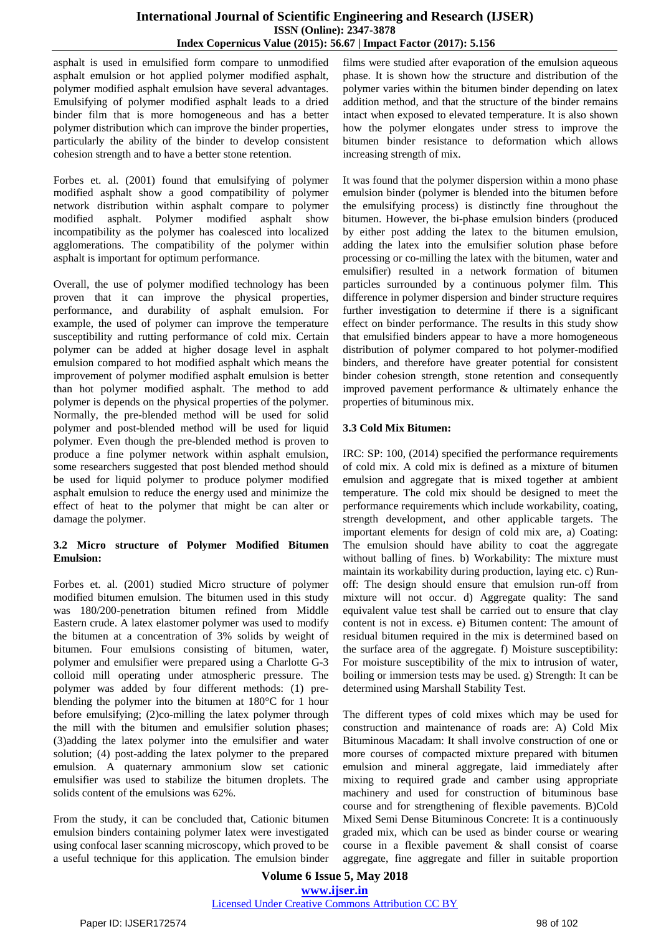asphalt is used in emulsified form compare to unmodified asphalt emulsion or hot applied polymer modified asphalt, polymer modified asphalt emulsion have several advantages. Emulsifying of polymer modified asphalt leads to a dried binder film that is more homogeneous and has a better polymer distribution which can improve the binder properties, particularly the ability of the binder to develop consistent cohesion strength and to have a better stone retention.

Forbes et. al. (2001) found that emulsifying of polymer modified asphalt show a good compatibility of polymer network distribution within asphalt compare to polymer modified asphalt. Polymer modified asphalt show incompatibility as the polymer has coalesced into localized agglomerations. The compatibility of the polymer within asphalt is important for optimum performance.

Overall, the use of polymer modified technology has been proven that it can improve the physical properties, performance, and durability of asphalt emulsion. For example, the used of polymer can improve the temperature susceptibility and rutting performance of cold mix. Certain polymer can be added at higher dosage level in asphalt emulsion compared to hot modified asphalt which means the improvement of polymer modified asphalt emulsion is better than hot polymer modified asphalt. The method to add polymer is depends on the physical properties of the polymer. Normally, the pre-blended method will be used for solid polymer and post-blended method will be used for liquid polymer. Even though the pre-blended method is proven to produce a fine polymer network within asphalt emulsion, some researchers suggested that post blended method should be used for liquid polymer to produce polymer modified asphalt emulsion to reduce the energy used and minimize the effect of heat to the polymer that might be can alter or damage the polymer.

## **3.2 Micro structure of Polymer Modified Bitumen Emulsion:**

Forbes et. al. (2001) studied Micro structure of polymer modified bitumen emulsion. The bitumen used in this study was 180/200-penetration bitumen refined from Middle Eastern crude. A latex elastomer polymer was used to modify the bitumen at a concentration of 3% solids by weight of bitumen. Four emulsions consisting of bitumen, water, polymer and emulsifier were prepared using a Charlotte G-3 colloid mill operating under atmospheric pressure. The polymer was added by four different methods: (1) preblending the polymer into the bitumen at 180°C for 1 hour before emulsifying; (2)co-milling the latex polymer through the mill with the bitumen and emulsifier solution phases; (3)adding the latex polymer into the emulsifier and water solution; (4) post-adding the latex polymer to the prepared emulsion. A quaternary ammonium slow set cationic emulsifier was used to stabilize the bitumen droplets. The solids content of the emulsions was 62%.

From the study, it can be concluded that, Cationic bitumen emulsion binders containing polymer latex were investigated using confocal laser scanning microscopy, which proved to be a useful technique for this application. The emulsion binder

films were studied after evaporation of the emulsion aqueous phase. It is shown how the structure and distribution of the polymer varies within the bitumen binder depending on latex addition method, and that the structure of the binder remains intact when exposed to elevated temperature. It is also shown how the polymer elongates under stress to improve the bitumen binder resistance to deformation which allows increasing strength of mix.

It was found that the polymer dispersion within a mono phase emulsion binder (polymer is blended into the bitumen before the emulsifying process) is distinctly fine throughout the bitumen. However, the bi-phase emulsion binders (produced by either post adding the latex to the bitumen emulsion, adding the latex into the emulsifier solution phase before processing or co-milling the latex with the bitumen, water and emulsifier) resulted in a network formation of bitumen particles surrounded by a continuous polymer film. This difference in polymer dispersion and binder structure requires further investigation to determine if there is a significant effect on binder performance. The results in this study show that emulsified binders appear to have a more homogeneous distribution of polymer compared to hot polymer-modified binders, and therefore have greater potential for consistent binder cohesion strength, stone retention and consequently improved pavement performance & ultimately enhance the properties of bituminous mix.

#### **3.3 Cold Mix Bitumen:**

IRC: SP: 100, (2014) specified the performance requirements of cold mix. A cold mix is defined as a mixture of bitumen emulsion and aggregate that is mixed together at ambient temperature. The cold mix should be designed to meet the performance requirements which include workability, coating, strength development, and other applicable targets. The important elements for design of cold mix are, a) Coating: The emulsion should have ability to coat the aggregate without balling of fines. b) Workability: The mixture must maintain its workability during production, laying etc. c) Runoff: The design should ensure that emulsion run-off from mixture will not occur. d) Aggregate quality: The sand equivalent value test shall be carried out to ensure that clay content is not in excess. e) Bitumen content: The amount of residual bitumen required in the mix is determined based on the surface area of the aggregate. f) Moisture susceptibility: For moisture susceptibility of the mix to intrusion of water, boiling or immersion tests may be used. g) Strength: It can be determined using Marshall Stability Test.

The different types of cold mixes which may be used for construction and maintenance of roads are: A) Cold Mix Bituminous Macadam: It shall involve construction of one or more courses of compacted mixture prepared with bitumen emulsion and mineral aggregate, laid immediately after mixing to required grade and camber using appropriate machinery and used for construction of bituminous base course and for strengthening of flexible pavements. B)Cold Mixed Semi Dense Bituminous Concrete: It is a continuously graded mix, which can be used as binder course or wearing course in a flexible pavement & shall consist of coarse aggregate, fine aggregate and filler in suitable proportion

**Volume 6 Issue 5, May 2018 [www.ijser.in](file:///G:\www.ijser.in\Documents\www.ijser.in)** [Licensed Under Creative Commons Attribution CC BY](http://creativecommons.org/licenses/by/4.0/)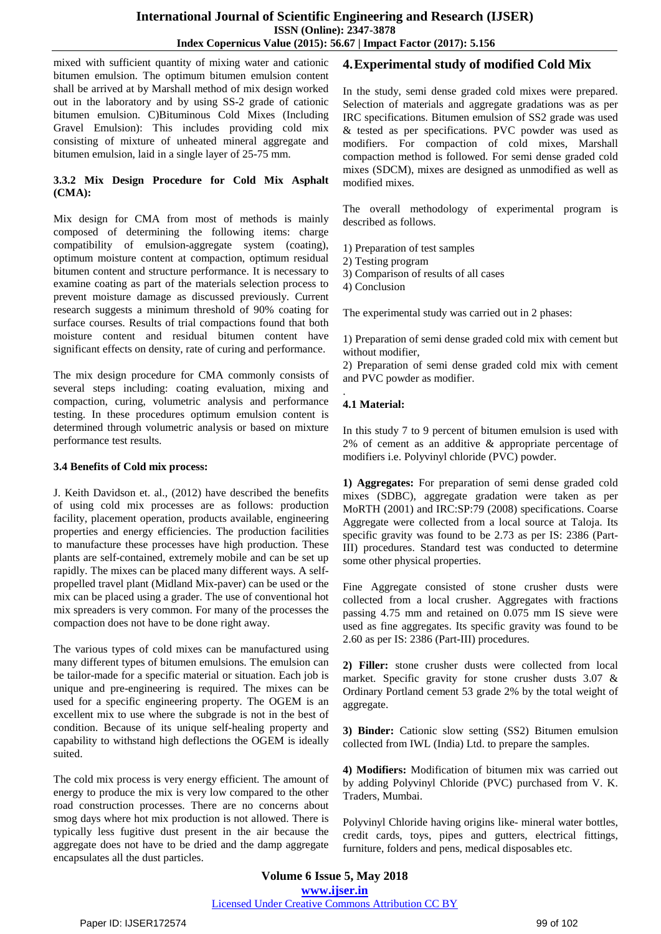mixed with sufficient quantity of mixing water and cationic bitumen emulsion. The optimum bitumen emulsion content shall be arrived at by Marshall method of mix design worked out in the laboratory and by using SS-2 grade of cationic bitumen emulsion. C)Bituminous Cold Mixes (Including Gravel Emulsion): This includes providing cold mix consisting of mixture of unheated mineral aggregate and bitumen emulsion, laid in a single layer of 25-75 mm.

#### **3.3.2 Mix Design Procedure for Cold Mix Asphalt (CMA):**

Mix design for CMA from most of methods is mainly composed of determining the following items: charge compatibility of emulsion-aggregate system (coating), optimum moisture content at compaction, optimum residual bitumen content and structure performance. It is necessary to examine coating as part of the materials selection process to prevent moisture damage as discussed previously. Current research suggests a minimum threshold of 90% coating for surface courses. Results of trial compactions found that both moisture content and residual bitumen content have significant effects on density, rate of curing and performance.

The mix design procedure for CMA commonly consists of several steps including: coating evaluation, mixing and compaction, curing, volumetric analysis and performance testing. In these procedures optimum emulsion content is determined through volumetric analysis or based on mixture performance test results.

#### **3.4 Benefits of Cold mix process:**

J. Keith Davidson et. al., (2012) have described the benefits of using cold mix processes are as follows: production facility, placement operation, products available, engineering properties and energy efficiencies. The production facilities to manufacture these processes have high production. These plants are self-contained, extremely mobile and can be set up rapidly. The mixes can be placed many different ways. A selfpropelled travel plant (Midland Mix-paver) can be used or the mix can be placed using a grader. The use of conventional hot mix spreaders is very common. For many of the processes the compaction does not have to be done right away.

The various types of cold mixes can be manufactured using many different types of bitumen emulsions. The emulsion can be tailor-made for a specific material or situation. Each job is unique and pre-engineering is required. The mixes can be used for a specific engineering property. The OGEM is an excellent mix to use where the subgrade is not in the best of condition. Because of its unique self-healing property and capability to withstand high deflections the OGEM is ideally suited.

The cold mix process is very energy efficient. The amount of energy to produce the mix is very low compared to the other road construction processes. There are no concerns about smog days where hot mix production is not allowed. There is typically less fugitive dust present in the air because the aggregate does not have to be dried and the damp aggregate encapsulates all the dust particles.

# **4.Experimental study of modified Cold Mix**

In the study, semi dense graded cold mixes were prepared. Selection of materials and aggregate gradations was as per IRC specifications. Bitumen emulsion of SS2 grade was used & tested as per specifications. PVC powder was used as modifiers. For compaction of cold mixes, Marshall compaction method is followed. For semi dense graded cold mixes (SDCM), mixes are designed as unmodified as well as modified mixes.

The overall methodology of experimental program is described as follows.

- 1) Preparation of test samples
- 2) Testing program
- 3) Comparison of results of all cases
- 4) Conclusion

The experimental study was carried out in 2 phases:

1) Preparation of semi dense graded cold mix with cement but without modifier,

2) Preparation of semi dense graded cold mix with cement and PVC powder as modifier.

#### . **4.1 Material:**

In this study 7 to 9 percent of bitumen emulsion is used with 2% of cement as an additive & appropriate percentage of modifiers i.e. Polyvinyl chloride (PVC) powder.

**1) Aggregates:** For preparation of semi dense graded cold mixes (SDBC), aggregate gradation were taken as per MoRTH (2001) and IRC:SP:79 (2008) specifications. Coarse Aggregate were collected from a local source at Taloja. Its specific gravity was found to be 2.73 as per IS: 2386 (Part-III) procedures. Standard test was conducted to determine some other physical properties.

Fine Aggregate consisted of stone crusher dusts were collected from a local crusher. Aggregates with fractions passing 4.75 mm and retained on 0.075 mm IS sieve were used as fine aggregates. Its specific gravity was found to be 2.60 as per IS: 2386 (Part-III) procedures.

**2) Filler:** stone crusher dusts were collected from local market. Specific gravity for stone crusher dusts 3.07 & Ordinary Portland cement 53 grade 2% by the total weight of aggregate.

**3) Binder:** Cationic slow setting (SS2) Bitumen emulsion collected from IWL (India) Ltd. to prepare the samples.

**4) Modifiers:** Modification of bitumen mix was carried out by adding Polyvinyl Chloride (PVC) purchased from V. K. Traders, Mumbai.

Polyvinyl Chloride having origins like- mineral water bottles, credit cards, toys, pipes and gutters, electrical fittings, furniture, folders and pens, medical disposables etc.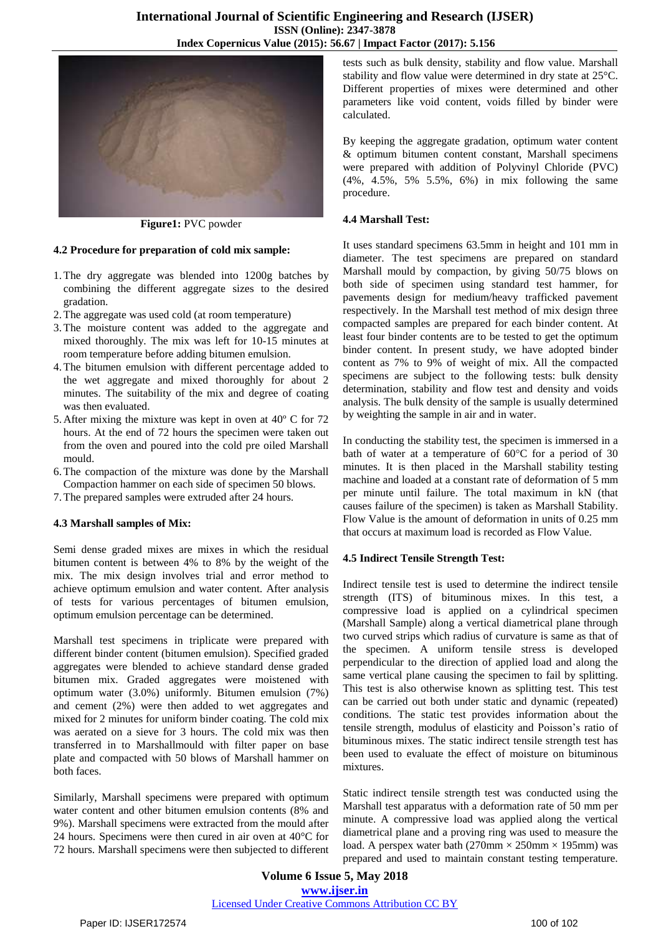

**Figure1:** PVC powder

#### **4.2 Procedure for preparation of cold mix sample:**

- 1.The dry aggregate was blended into 1200g batches by combining the different aggregate sizes to the desired gradation.
- 2.The aggregate was used cold (at room temperature)
- 3.The moisture content was added to the aggregate and mixed thoroughly. The mix was left for 10-15 minutes at room temperature before adding bitumen emulsion.
- 4.The bitumen emulsion with different percentage added to the wet aggregate and mixed thoroughly for about 2 minutes. The suitability of the mix and degree of coating was then evaluated.
- 5. After mixing the mixture was kept in oven at 40º C for 72 hours. At the end of 72 hours the specimen were taken out from the oven and poured into the cold pre oiled Marshall mould.
- 6.The compaction of the mixture was done by the Marshall Compaction hammer on each side of specimen 50 blows.
- 7.The prepared samples were extruded after 24 hours.

## **4.3 Marshall samples of Mix:**

Semi dense graded mixes are mixes in which the residual bitumen content is between 4% to 8% by the weight of the mix. The mix design involves trial and error method to achieve optimum emulsion and water content. After analysis of tests for various percentages of bitumen emulsion, optimum emulsion percentage can be determined.

Marshall test specimens in triplicate were prepared with different binder content (bitumen emulsion). Specified graded aggregates were blended to achieve standard dense graded bitumen mix. Graded aggregates were moistened with optimum water (3.0%) uniformly. Bitumen emulsion (7%) and cement (2%) were then added to wet aggregates and mixed for 2 minutes for uniform binder coating. The cold mix was aerated on a sieve for 3 hours. The cold mix was then transferred in to Marshallmould with filter paper on base plate and compacted with 50 blows of Marshall hammer on both faces.

Similarly, Marshall specimens were prepared with optimum water content and other bitumen emulsion contents (8% and 9%). Marshall specimens were extracted from the mould after 24 hours. Specimens were then cured in air oven at 40°C for 72 hours. Marshall specimens were then subjected to different

tests such as bulk density, stability and flow value. Marshall stability and flow value were determined in dry state at 25°C. Different properties of mixes were determined and other parameters like void content, voids filled by binder were calculated.

By keeping the aggregate gradation, optimum water content & optimum bitumen content constant, Marshall specimens were prepared with addition of Polyvinyl Chloride (PVC) (4%, 4.5%, 5% 5.5%, 6%) in mix following the same procedure.

#### **4.4 Marshall Test:**

It uses standard specimens 63.5mm in height and 101 mm in diameter. The test specimens are prepared on standard Marshall mould by compaction, by giving 50/75 blows on both side of specimen using standard test hammer, for pavements design for medium/heavy trafficked pavement respectively. In the Marshall test method of mix design three compacted samples are prepared for each binder content. At least four binder contents are to be tested to get the optimum binder content. In present study, we have adopted binder content as 7% to 9% of weight of mix. All the compacted specimens are subject to the following tests: bulk density determination, stability and flow test and density and voids analysis. The bulk density of the sample is usually determined by weighting the sample in air and in water.

In conducting the stability test, the specimen is immersed in a bath of water at a temperature of 60°C for a period of 30 minutes. It is then placed in the Marshall stability testing machine and loaded at a constant rate of deformation of 5 mm per minute until failure. The total maximum in kN (that causes failure of the specimen) is taken as Marshall Stability. Flow Value is the amount of deformation in units of 0.25 mm that occurs at maximum load is recorded as Flow Value.

#### **4.5 Indirect Tensile Strength Test:**

Indirect tensile test is used to determine the indirect tensile strength (ITS) of bituminous mixes. In this test, a compressive load is applied on a cylindrical specimen (Marshall Sample) along a vertical diametrical plane through two curved strips which radius of curvature is same as that of the specimen. A uniform tensile stress is developed perpendicular to the direction of applied load and along the same vertical plane causing the specimen to fail by splitting. This test is also otherwise known as splitting test. This test can be carried out both under static and dynamic (repeated) conditions. The static test provides information about the tensile strength, modulus of elasticity and Poisson's ratio of bituminous mixes. The static indirect tensile strength test has been used to evaluate the effect of moisture on bituminous mixtures.

Static indirect tensile strength test was conducted using the Marshall test apparatus with a deformation rate of 50 mm per minute. A compressive load was applied along the vertical diametrical plane and a proving ring was used to measure the load. A perspex water bath  $(270 \text{mm} \times 250 \text{mm} \times 195 \text{mm})$  was prepared and used to maintain constant testing temperature.

**Volume 6 Issue 5, May 2018 [www.ijser.in](file:///G:\www.ijser.in\Documents\www.ijser.in)** [Licensed Under Creative Commons Attribution CC BY](http://creativecommons.org/licenses/by/4.0/)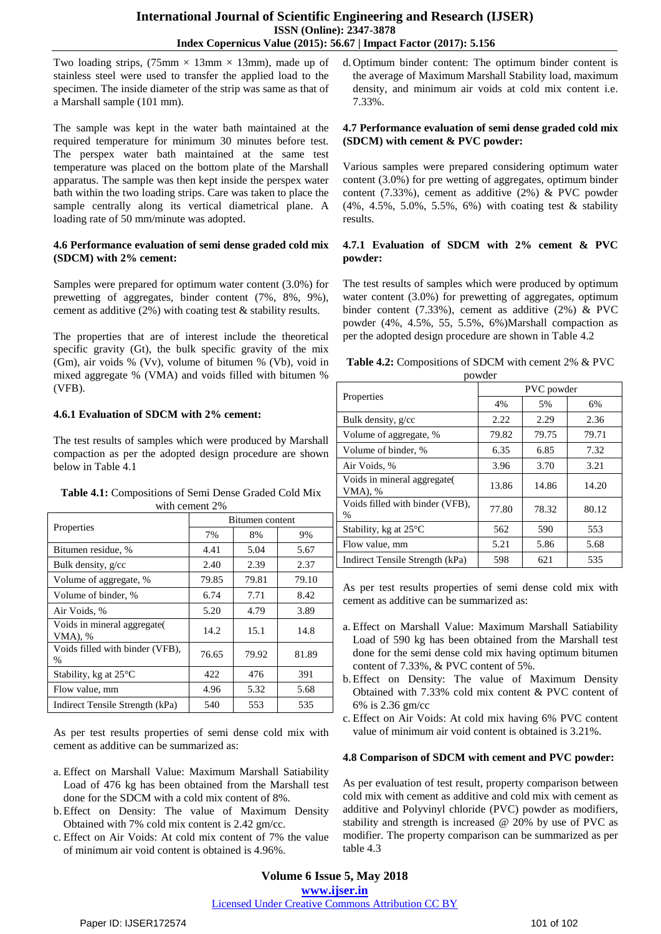Two loading strips,  $(75 \text{mm} \times 13 \text{mm} \times 13 \text{mm})$ , made up of stainless steel were used to transfer the applied load to the specimen. The inside diameter of the strip was same as that of a Marshall sample (101 mm).

The sample was kept in the water bath maintained at the required temperature for minimum 30 minutes before test. The perspex water bath maintained at the same test temperature was placed on the bottom plate of the Marshall apparatus. The sample was then kept inside the perspex water bath within the two loading strips. Care was taken to place the sample centrally along its vertical diametrical plane. A loading rate of 50 mm/minute was adopted.

#### **4.6 Performance evaluation of semi dense graded cold mix (SDCM) with 2% cement:**

Samples were prepared for optimum water content (3.0%) for prewetting of aggregates, binder content (7%, 8%, 9%), cement as additive (2%) with coating test & stability results.

The properties that are of interest include the theoretical specific gravity (Gt), the bulk specific gravity of the mix (Gm), air voids % (Vv), volume of bitumen % (Vb), void in mixed aggregate % (VMA) and voids filled with bitumen % (VFB).

## **4.6.1 Evaluation of SDCM with 2% cement:**

The test results of samples which were produced by Marshall compaction as per the adopted design procedure are shown below in Table 4.1

**Table 4.1:** Compositions of Semi Dense Graded Cold Mix with cement 2%

|                                         | Bitumen content |       |       |  |
|-----------------------------------------|-----------------|-------|-------|--|
| Properties                              | 7%              | 8%    | 9%    |  |
| Bitumen residue, %                      | 4.41            | 5.04  | 5.67  |  |
| Bulk density, g/cc                      | 2.40            | 2.39  | 2.37  |  |
| Volume of aggregate, %                  | 79.85           | 79.81 | 79.10 |  |
| Volume of binder, %                     | 6.74            | 7.71  | 8.42  |  |
| Air Voids, %                            | 5.20            | 4.79  | 3.89  |  |
| Voids in mineral aggregate(<br>VMA), %  | 14.2            | 15.1  | 14.8  |  |
| Voids filled with binder (VFB),<br>$\%$ | 76.65           | 79.92 | 81.89 |  |
| Stability, kg at $25^{\circ}$ C         | 422             | 476   | 391   |  |
| Flow value, mm                          | 4.96            | 5.32  | 5.68  |  |
| Indirect Tensile Strength (kPa)         | 540             | 553   | 535   |  |

As per test results properties of semi dense cold mix with cement as additive can be summarized as:

- a. Effect on Marshall Value: Maximum Marshall Satiability Load of 476 kg has been obtained from the Marshall test done for the SDCM with a cold mix content of 8%.
- b.Effect on Density: The value of Maximum Density Obtained with 7% cold mix content is 2.42 gm/cc.
- c. Effect on Air Voids: At cold mix content of 7% the value of minimum air void content is obtained is 4.96%.

d. Optimum binder content: The optimum binder content is the average of Maximum Marshall Stability load, maximum density, and minimum air voids at cold mix content i.e. 7.33%.

#### **4.7 Performance evaluation of semi dense graded cold mix (SDCM) with cement & PVC powder:**

Various samples were prepared considering optimum water content (3.0%) for pre wetting of aggregates, optimum binder content (7.33%), cement as additive (2%) & PVC powder (4%, 4.5%, 5.0%, 5.5%, 6%) with coating test & stability results.

#### **4.7.1 Evaluation of SDCM with 2% cement & PVC powder:**

The test results of samples which were produced by optimum water content (3.0%) for prewetting of aggregates, optimum binder content (7.33%), cement as additive (2%) & PVC powder (4%, 4.5%, 55, 5.5%, 6%)Marshall compaction as per the adopted design procedure are shown in Table 4.2

| Table 4.2: Compositions of SDCM with cement 2% & PVC |         |  |  |
|------------------------------------------------------|---------|--|--|
|                                                      | normdor |  |  |

| powder                                  |            |       |       |  |  |
|-----------------------------------------|------------|-------|-------|--|--|
|                                         | PVC powder |       |       |  |  |
| Properties                              | 4%         | 5%    | 6%    |  |  |
| Bulk density, g/cc                      | 2.22       | 2.29  | 2.36  |  |  |
| Volume of aggregate, %                  | 79.82      | 79.75 | 79.71 |  |  |
| Volume of binder, %                     | 6.35       | 6.85  | 7.32  |  |  |
| Air Voids, %                            | 3.96       | 3.70  | 3.21  |  |  |
| Voids in mineral aggregate(<br>VMA), %  | 13.86      | 14.86 | 14.20 |  |  |
| Voids filled with binder (VFB),<br>$\%$ | 77.80      | 78.32 | 80.12 |  |  |
| Stability, kg at $25^{\circ}$ C         | 562        | 590   | 553   |  |  |
| Flow value, mm                          | 5.21       | 5.86  | 5.68  |  |  |
| Indirect Tensile Strength (kPa)         | 598        | 621   | 535   |  |  |

As per test results properties of semi dense cold mix with cement as additive can be summarized as:

- a. Effect on Marshall Value: Maximum Marshall Satiability Load of 590 kg has been obtained from the Marshall test done for the semi dense cold mix having optimum bitumen content of 7.33%, & PVC content of 5%.
- b.Effect on Density: The value of Maximum Density Obtained with 7.33% cold mix content & PVC content of 6% is 2.36 gm/cc
- c. Effect on Air Voids: At cold mix having 6% PVC content value of minimum air void content is obtained is 3.21%.

## **4.8 Comparison of SDCM with cement and PVC powder:**

As per evaluation of test result, property comparison between cold mix with cement as additive and cold mix with cement as additive and Polyvinyl chloride (PVC) powder as modifiers, stability and strength is increased @ 20% by use of PVC as modifier. The property comparison can be summarized as per table 4.3